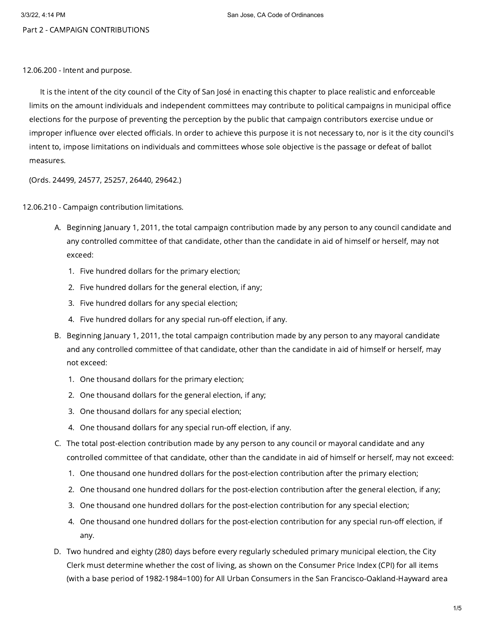Part 2 - CAMPAIGN CONTRIBUTIONS

12.06.200 - Intent and purpose.

It is the intent of the city council of the City of San José in enacting this chapter to place realistic and enforceable limits on the amount individuals and independent committees may contribute to political campaigns in municipal office elections for the purpose of preventing the perception by the public that campaign contributors exercise undue or improper influence over elected officials. In order to achieve this purpose it is not necessary to, nor is it the city council's intent to, impose limitations on individuals and committees whose sole objective is the passage or defeat of ballot measures.

(Ords. 24499, 24577, 25257, 26440, 29642.)

12.06.210 - Campaign contribution limitations.

- A. Beginning January 1, 2011, the total campaign contribution made by any person to any council candidate and any controlled committee of that candidate, other than the candidate in aid of himself or herself, may not exceed:
	- 1. Five hundred dollars for the primary election;
	- 2. Five hundred dollars for the general election, if any;
	- 3. Five hundred dollars for any special election;
	- 4. Five hundred dollars for any special run-off election, if any.
- B. Beginning January 1, 2011, the total campaign contribution made by any person to any mayoral candidate and any controlled committee of that candidate, other than the candidate in aid of himself or herself, may not exceed:
	- 1. One thousand dollars for the primary election;
	- 2. One thousand dollars for the general election, if any;
	- 3. One thousand dollars for any special election;
	- 4. One thousand dollars for any special run-off election, if any.
- C. The total post-election contribution made by any person to any council or mayoral candidate and any controlled committee of that candidate, other than the candidate in aid of himself or herself, may not exceed:
	- 1. One thousand one hundred dollars for the post-election contribution after the primary election;
	- 2. One thousand one hundred dollars for the post-election contribution after the general election, if any;
	- 3. One thousand one hundred dollars for the post-election contribution for any special election;
	- 4. One thousand one hundred dollars for the post-election contribution for any special run-off election, if any.
- D. Two hundred and eighty (280) days before every regularly scheduled primary municipal election, the City Clerk must determine whether the cost of living, as shown on the Consumer Price Index (CPI) for all items (with a base period of 1982-1984=100) for All Urban Consumers in the San Francisco-Oakland-Hayward area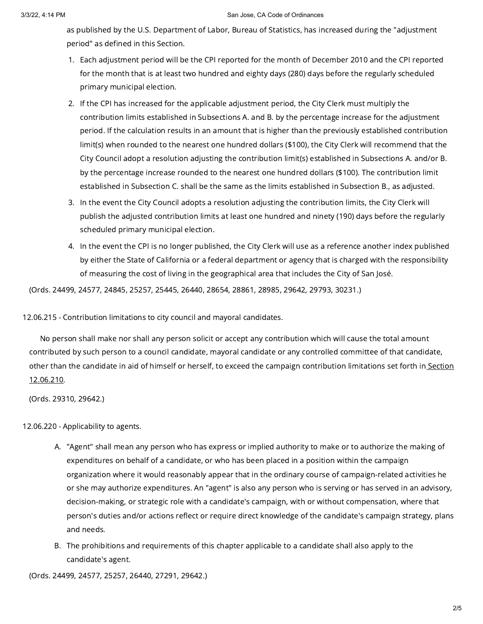as published by the U.S. Department of Labor, Bureau of Statistics, has increased during the "adjustment period" as defined in this Section.

- 1. Each adjustment period will be the CPI reported for the month of December 2010 and the CPI reported for the month that is at least two hundred and eighty days (280) days before the regularly scheduled primary municipal election.
- 2. If the CPI has increased for the applicable adjustment period, the City Clerk must multiply the contribution limits established in Subsections A. and B. by the percentage increase for the adjustment period. If the calculation results in an amount that is higher than the previously established contribution limit(s) when rounded to the nearest one hundred dollars (\$100), the City Clerk will recommend that the City Council adopt a resolution adjusting the contribution limit(s) established in Subsections A. and/or B. by the percentage increase rounded to the nearest one hundred dollars (\$100). The contribution limit established in Subsection C. shall be the same as the limits established in Subsection B., as adjusted.
- 3. In the event the City Council adopts a resolution adjusting the contribution limits, the City Clerk will publish the adjusted contribution limits at least one hundred and ninety (190) days before the regularly scheduled primary municipal election.
- 4. In the event the CPI is no longer published, the City Clerk will use as a reference another index published by either the State of California or a federal department or agency that is charged with the responsibility of measuring the cost of living in the geographical area that includes the City of San José.

(Ords. 24499, 24577, 24845, 25257, 25445, 26440, 28654, 28861, 28985, 29642, 29793, 30231.)

12.06.215 - Contribution limitations to city council and mayoral candidates.

No person shall make nor shall any person solicit or accept any contribution which will cause the total amount contributed by such person to a council candidate, mayoral candidate or any controlled committee of that candidate, other than the candidate in aid of himself or herself, to exceed the campaign [contribution](https://library.municode.com/) limitations set forth in Section 12.06.210.

(Ords. 29310, 29642.)

12.06.220 - Applicability to agents.

- A. "Agent" shall mean any person who has express or implied authority to make or to authorize the making of expenditures on behalf of a candidate, or who has been placed in a position within the campaign organization where it would reasonably appear that in the ordinary course of campaign-related activities he or she may authorize expenditures. An "agent" is also any person who is serving or has served in an advisory, decision-making, or strategic role with a candidate's campaign, with or without compensation, where that person's duties and/or actions reflect or require direct knowledge of the candidate's campaign strategy, plans and needs.
- B. The prohibitions and requirements of this chapter applicable to a candidate shall also apply to the candidate's agent.

(Ords. 24499, 24577, 25257, 26440, 27291, 29642.)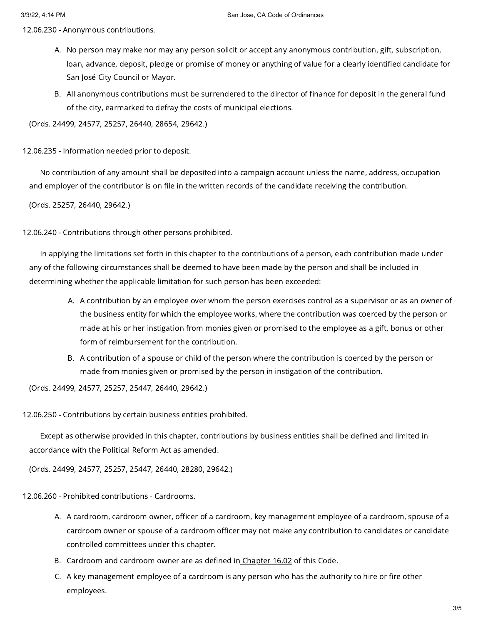12.06.230 - Anonymous contributions.

- A. No person may make nor may any person solicit or accept any anonymous contribution, gift, subscription, loan, advance, deposit, pledge or promise of money or anything of value for a clearly identified candidate for San José City Council or Mayor.
- B. All anonymous contributions must be surrendered to the director of finance for deposit in the general fund of the city, earmarked to defray the costs of municipal elections.

(Ords. 24499, 24577, 25257, 26440, 28654, 29642.)

12.06.235 - Information needed prior to deposit.

No contribution of any amount shall be deposited into a campaign account unless the name, address, occupation and employer of the contributor is on file in the written records of the candidate receiving the contribution.

(Ords. 25257, 26440, 29642.)

12.06.240 - Contributions through other persons prohibited.

In applying the limitations set forth in this chapter to the contributions of a person, each contribution made under any of the following circumstances shall be deemed to have been made by the person and shall be included in determining whether the applicable limitation for such person has been exceeded:

- A. A contribution by an employee over whom the person exercises control as a supervisor or as an owner of the business entity for which the employee works, where the contribution was coerced by the person or made at his or her instigation from monies given or promised to the employee as a gift, bonus or other form of reimbursement for the contribution.
- B. A contribution of a spouse or child of the person where the contribution is coerced by the person or made from monies given or promised by the person in instigation of the contribution.

(Ords. 24499, 24577, 25257, 25447, 26440, 29642.)

12.06.250 - Contributions by certain business entities prohibited.

Except as otherwise provided in this chapter, contributions by business entities shall be defined and limited in accordance with the Political Reform Act as amended.

(Ords. 24499, 24577, 25257, 25447, 26440, 28280, 29642.)

12.06.260 - Prohibited contributions - Cardrooms.

- A. A cardroom, cardroom owner, officer of a cardroom, key management employee of a cardroom, spouse of a cardroom owner or spouse of a cardroom officer may not make any contribution to candidates or candidate controlled committees under this chapter.
- B. Cardroom and cardroom owner are as defined in<u> [Chapter](https://library.municode.com/) 16.02</u> of this Code.
- C. A key management employee of a cardroom is any person who has the authority to hire or fire other employees.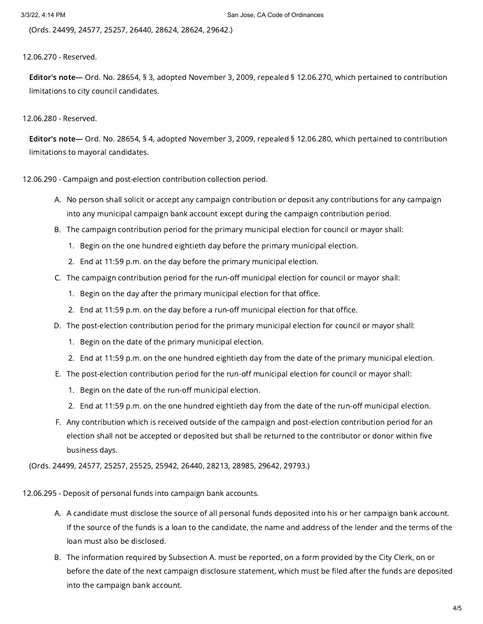(Ords. 24499, 24577, 25257, 26440, 28624, 28624, 29642.)

## 12.06.270 - Reserved.

Editor's note— Ord. No. 28654, § 3, adopted November 3, 2009, repealed § 12.06.270, which pertained to contribution limitations to city council candidates.

## 12.06.280 - Reserved.

Editor's note— Ord. No. 28654, § 4, adopted November 3, 2009, repealed § 12.06.280, which pertained to contribution limitations to mayoral candidates.

12.06.290 - Campaign and post-election contribution collection period.

- A. No person shall solicit or accept any campaign contribution or deposit any contributions for any campaign into any municipal campaign bank account except during the campaign contribution period.
- B. The campaign contribution period for the primary municipal election for council or mayor shall:
	- 1. Begin on the one hundred eightieth day before the primary municipal election.
	- 2. End at 11:59 p.m. on the day before the primary municipal election.
- C. The campaign contribution period for the run-off municipal election for council or mayor shall:
	- 1. Begin on the day after the primary municipal election for that office.
	- 2. End at 11:59 p.m. on the day before a run-off municipal election for that office.
- D. The post-election contribution period for the primary municipal election for council or mayor shall:
	- 1. Begin on the date of the primary municipal election.
	- 2. End at 11:59 p.m. on the one hundred eightieth day from the date of the primary municipal election.
- E. The post-election contribution period for the run-off municipal election for council or mayor shall:
	- 1. Begin on the date of the run-off municipal election.
	- 2. End at 11:59 p.m. on the one hundred eightieth day from the date of the run-off municipal election.
- F. Any contribution which is received outside of the campaign and post-election contribution period for an election shall not be accepted or deposited but shall be returned to the contributor or donor within five business days.

(Ords. 24499, 24577, 25257, 25525, 25942, 26440, 28213, 28985, 29642, 29793.)

12.06.295 - Deposit of personal funds into campaign bank accounts.

- A. A candidate must disclose the source of all personal funds deposited into his or her campaign bank account. If the source of the funds is a loan to the candidate, the name and address of the lender and the terms of the loan must also be disclosed.
- B. The information required by Subsection A. must be reported, on a form provided by the City Clerk, on or before the date of the next campaign disclosure statement, which must be filed after the funds are deposited into the campaign bank account.